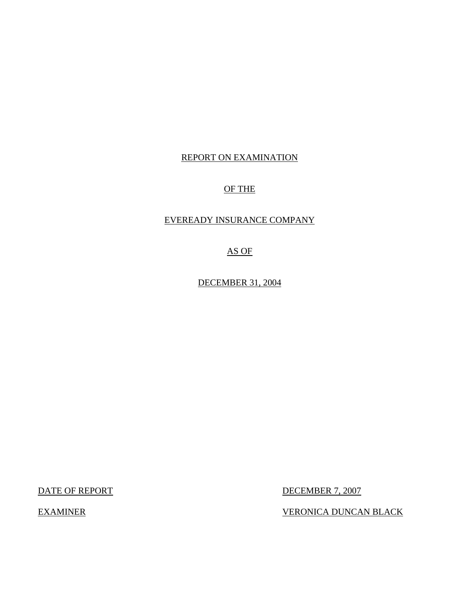## REPORT ON EXAMINATION

## OF THE

## EVEREADY INSURANCE COMPANY

AS OF

DECEMBER 31, 2004

DATE OF REPORT DECEMBER 7, 2007

EXAMINER VERONICA DUNCAN BLACK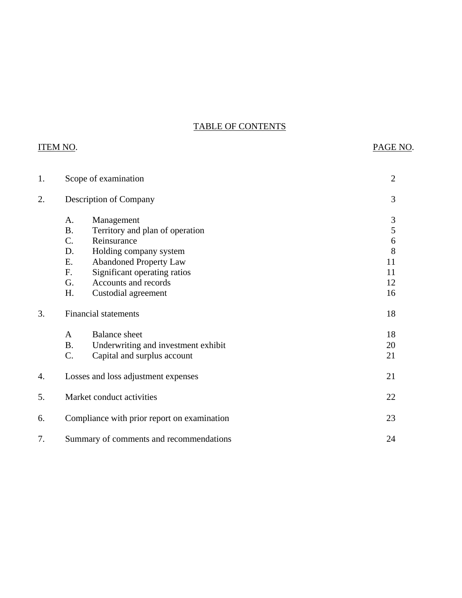## TABLE OF CONTENTS

|    | <b>ITEM NO.</b>                                     |                                                                                                                                                                                                        | PAGE NO.                                              |
|----|-----------------------------------------------------|--------------------------------------------------------------------------------------------------------------------------------------------------------------------------------------------------------|-------------------------------------------------------|
| 1. |                                                     | Scope of examination                                                                                                                                                                                   | $\overline{2}$                                        |
| 2. |                                                     | Description of Company                                                                                                                                                                                 | 3                                                     |
|    | A.<br><b>B.</b><br>C.<br>D.<br>E.<br>F.<br>G.<br>H. | Management<br>Territory and plan of operation<br>Reinsurance<br>Holding company system<br><b>Abandoned Property Law</b><br>Significant operating ratios<br>Accounts and records<br>Custodial agreement | $\mathfrak{Z}$<br>5<br>6<br>8<br>11<br>11<br>12<br>16 |
| 3. |                                                     | <b>Financial statements</b>                                                                                                                                                                            | 18                                                    |
|    | $\mathbf{A}$<br><b>B.</b><br>C.                     | <b>Balance</b> sheet<br>Underwriting and investment exhibit<br>Capital and surplus account                                                                                                             | 18<br>20<br>21                                        |
| 4. |                                                     | Losses and loss adjustment expenses                                                                                                                                                                    | 21                                                    |
| 5. |                                                     | Market conduct activities                                                                                                                                                                              | 22                                                    |
| 6. |                                                     | Compliance with prior report on examination                                                                                                                                                            | 23                                                    |
| 7. |                                                     | Summary of comments and recommendations                                                                                                                                                                | 24                                                    |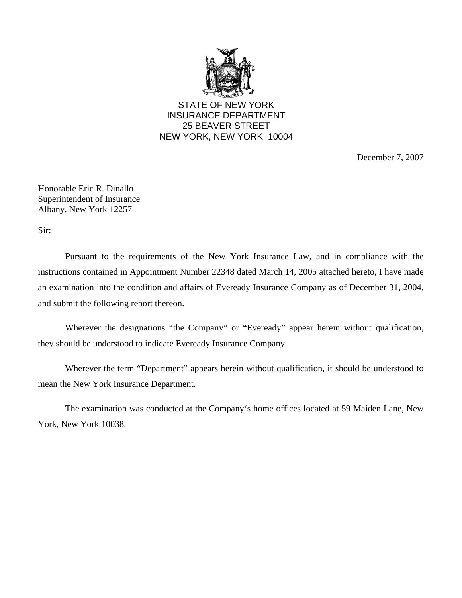

STATE OF NEW YORK INSURANCE DEPARTMENT 25 BEAVER STREET NEW YORK, NEW YORK 10004

December 7, 2007

Honorable Eric R. Dinallo Superintendent of Insurance Albany, New York 12257

Sir:

Pursuant to the requirements of the New York Insurance Law, and in compliance with the instructions contained in Appointment Number 22348 dated March 14, 2005 attached hereto, I have made an examination into the condition and affairs of Eveready Insurance Company as of December 31, 2004, and submit the following report thereon.

Wherever the designations "the Company" or "Eveready" appear herein without qualification, they should be understood to indicate Eveready Insurance Company.

Wherever the term "Department" appears herein without qualification, it should be understood to mean the New York Insurance Department.

The examination was conducted at the Company's home offices located at 59 Maiden Lane, New York, New York 10038.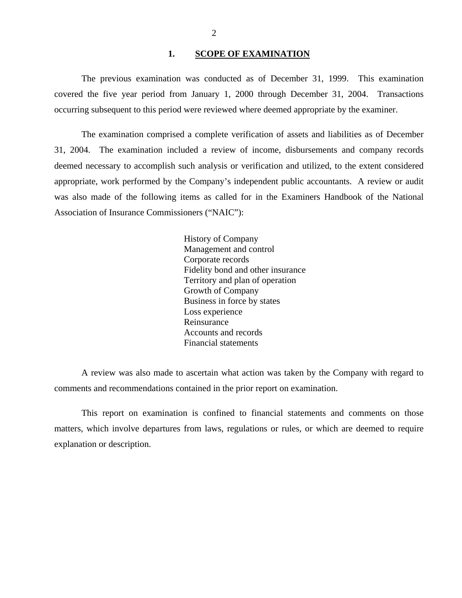## **1. SCOPE OF EXAMINATION**

<span id="page-3-0"></span>The previous examination was conducted as of December 31, 1999. This examination covered the five year period from January 1, 2000 through December 31, 2004. Transactions occurring subsequent to this period were reviewed where deemed appropriate by the examiner.

The examination comprised a complete verification of assets and liabilities as of December 31, 2004. The examination included a review of income, disbursements and company records deemed necessary to accomplish such analysis or verification and utilized, to the extent considered appropriate, work performed by the Company's independent public accountants. A review or audit was also made of the following items as called for in the Examiners Handbook of the National Association of Insurance Commissioners ("NAIC"):

> History of Company Management and control Corporate records Fidelity bond and other insurance Territory and plan of operation Growth of Company Business in force by states Loss experience Reinsurance Accounts and records Financial statements

A review was also made to ascertain what action was taken by the Company with regard to comments and recommendations contained in the prior report on examination.

This report on examination is confined to financial statements and comments on those matters, which involve departures from laws, regulations or rules, or which are deemed to require explanation or description.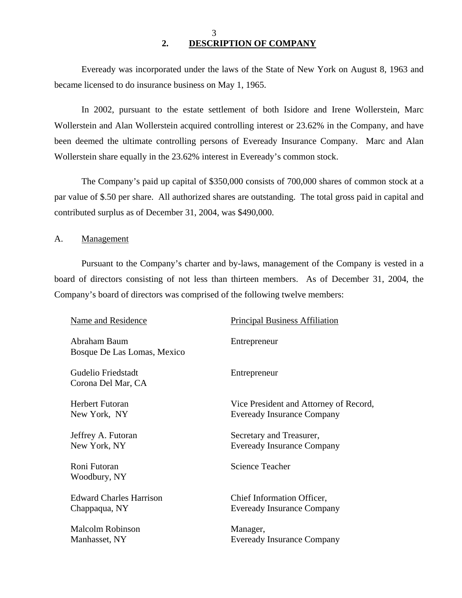## 3 **2. DESCRIPTION OF COMPANY**

Eveready was incorporated under the laws of the State of New York on August 8, 1963 and became licensed to do insurance business on May 1, 1965.

In 2002, pursuant to the estate settlement of both Isidore and Irene Wollerstein, Marc Wollerstein and Alan Wollerstein acquired controlling interest or 23.62% in the Company, and have been deemed the ultimate controlling persons of Eveready Insurance Company. Marc and Alan Wollerstein share equally in the 23.62% interest in Eveready's common stock.

The Company's paid up capital of \$350,000 consists of 700,000 shares of common stock at a par value of \$.50 per share. All authorized shares are outstanding. The total gross paid in capital and contributed surplus as of December 31, 2004, was \$490,000.

A. Management

Pursuant to the Company's charter and by-laws, management of the Company is vested in a board of directors consisting of not less than thirteen members. As of December 31, 2004, the Company's board of directors was comprised of the following twelve members:

| <b>Name and Residence</b>                   | <b>Principal Business Affiliation</b>  |
|---------------------------------------------|----------------------------------------|
| Abraham Baum<br>Bosque De Las Lomas, Mexico | Entrepreneur                           |
| Gudelio Friedstadt<br>Corona Del Mar, CA    | Entrepreneur                           |
| Herbert Futoran                             | Vice President and Attorney of Record, |
| New York, NY                                | <b>Eveready Insurance Company</b>      |
| Jeffrey A. Futoran                          | Secretary and Treasurer,               |
| New York, NY                                | <b>Eveready Insurance Company</b>      |
| Roni Futoran<br>Woodbury, NY                | <b>Science Teacher</b>                 |
| <b>Edward Charles Harrison</b>              | Chief Information Officer,             |
| Chappaqua, NY                               | <b>Eveready Insurance Company</b>      |
| <b>Malcolm Robinson</b>                     | Manager,                               |
| Manhasset, NY                               | <b>Eveready Insurance Company</b>      |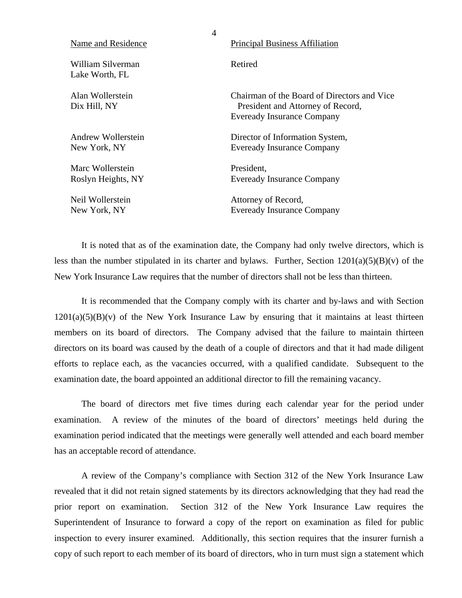| Name and Residence                     | <b>Principal Business Affiliation</b>                                                                                 |
|----------------------------------------|-----------------------------------------------------------------------------------------------------------------------|
| William Silverman<br>Lake Worth, FL    | Retired                                                                                                               |
| Alan Wollerstein<br>Dix Hill, NY       | Chairman of the Board of Directors and Vice<br>President and Attorney of Record,<br><b>Eveready Insurance Company</b> |
| Andrew Wollerstein<br>New York, NY     | Director of Information System,<br><b>Eveready Insurance Company</b>                                                  |
| Marc Wollerstein<br>Roslyn Heights, NY | President,<br><b>Eveready Insurance Company</b>                                                                       |
| Neil Wollerstein                       | Attorney of Record,                                                                                                   |

New York, NY Eveready Insurance Company

4

It is noted that as of the examination date, the Company had only twelve directors, which is less than the number stipulated in its charter and bylaws. Further, Section  $1201(a)(5)(B)(v)$  of the New York Insurance Law requires that the number of directors shall not be less than thirteen.

It is recommended that the Company comply with its charter and by-laws and with Section  $1201(a)(5)(B)(v)$  of the New York Insurance Law by ensuring that it maintains at least thirteen members on its board of directors. The Company advised that the failure to maintain thirteen directors on its board was caused by the death of a couple of directors and that it had made diligent efforts to replace each, as the vacancies occurred, with a qualified candidate. Subsequent to the examination date, the board appointed an additional director to fill the remaining vacancy.

The board of directors met five times during each calendar year for the period under examination. A review of the minutes of the board of directors' meetings held during the examination period indicated that the meetings were generally well attended and each board member has an acceptable record of attendance.

A review of the Company's compliance with Section 312 of the New York Insurance Law revealed that it did not retain signed statements by its directors acknowledging that they had read the prior report on examination. Section 312 of the New York Insurance Law requires the Superintendent of Insurance to forward a copy of the report on examination as filed for public inspection to every insurer examined. Additionally, this section requires that the insurer furnish a copy of such report to each member of its board of directors, who in turn must sign a statement which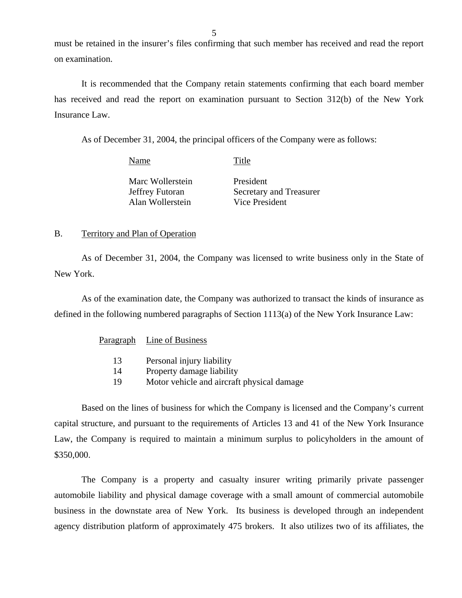must be retained in the insurer's files confirming that such member has received and read the report on examination.

It is recommended that the Company retain statements confirming that each board member has received and read the report on examination pursuant to Section 312(b) of the New York Insurance Law.

As of December 31, 2004, the principal officers of the Company were as follows:

| Name             | Title                   |
|------------------|-------------------------|
| Marc Wollerstein | President               |
| Jeffrey Futoran  | Secretary and Treasurer |
| Alan Wollerstein | Vice President          |

## B. Territory and Plan of Operation

As of December 31, 2004, the Company was licensed to write business only in the State of New York.

As of the examination date, the Company was authorized to transact the kinds of insurance as defined in the following numbered paragraphs of Section 1113(a) of the New York Insurance Law:

## Paragraph Line of Business

| 13 | Personal injury liability |
|----|---------------------------|
|----|---------------------------|

- 14 Property damage liability
- 19 Motor vehicle and aircraft physical damage

Based on the lines of business for which the Company is licensed and the Company's current capital structure, and pursuant to the requirements of Articles 13 and 41 of the New York Insurance Law, the Company is required to maintain a minimum surplus to policyholders in the amount of \$350,000.

The Company is a property and casualty insurer writing primarily private passenger automobile liability and physical damage coverage with a small amount of commercial automobile business in the downstate area of New York. Its business is developed through an independent agency distribution platform of approximately 475 brokers. It also utilizes two of its affiliates, the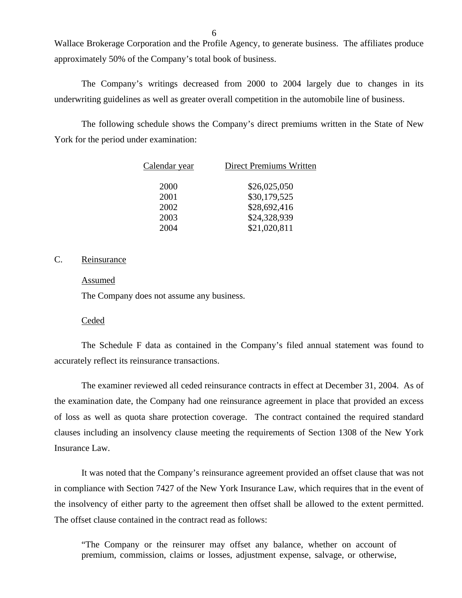Wallace Brokerage Corporation and the Profile Agency, to generate business. The affiliates produce approximately 50% of the Company's total book of business.

The Company's writings decreased from 2000 to 2004 largely due to changes in its underwriting guidelines as well as greater overall competition in the automobile line of business.

The following schedule shows the Company's direct premiums written in the State of New York for the period under examination:

| Calendar year | <b>Direct Premiums Written</b> |
|---------------|--------------------------------|
| 2000          | \$26,025,050                   |
| 2001          | \$30,179,525                   |
| 2002          | \$28,692,416                   |
| 2003          | \$24,328,939                   |
| 2004          | \$21,020,811                   |

## C. Reinsurance

#### Assumed

The Company does not assume any business.

#### Ceded

The Schedule F data as contained in the Company's filed annual statement was found to accurately reflect its reinsurance transactions.

The examiner reviewed all ceded reinsurance contracts in effect at December 31, 2004. As of the examination date, the Company had one reinsurance agreement in place that provided an excess of loss as well as quota share protection coverage. The contract contained the required standard clauses including an insolvency clause meeting the requirements of Section 1308 of the New York Insurance Law.

It was noted that the Company's reinsurance agreement provided an offset clause that was not in compliance with Section 7427 of the New York Insurance Law, which requires that in the event of the insolvency of either party to the agreement then offset shall be allowed to the extent permitted. The offset clause contained in the contract read as follows:

"The Company or the reinsurer may offset any balance, whether on account of premium, commission, claims or losses, adjustment expense, salvage, or otherwise,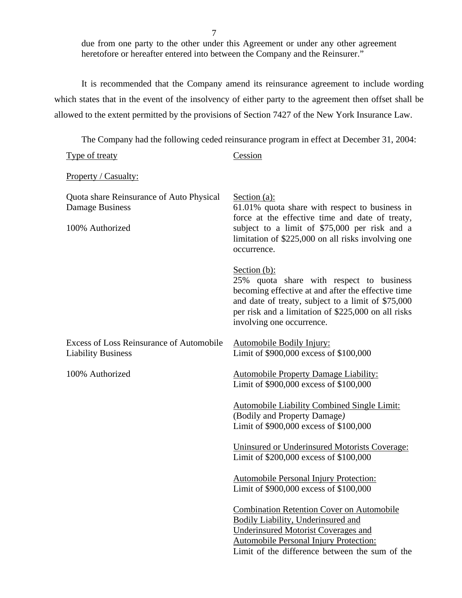7

due from one party to the other under this Agreement or under any other agreement heretofore or hereafter entered into between the Company and the Reinsurer."

It is recommended that the Company amend its reinsurance agreement to include wording which states that in the event of the insolvency of either party to the agreement then offset shall be allowed to the extent permitted by the provisions of Section 7427 of the New York Insurance Law.

The Company had the following ceded reinsurance program in effect at December 31, 2004:

| <b>Type of treaty</b>                                                          | Cession                                                                                                                                                                                                                                                     |
|--------------------------------------------------------------------------------|-------------------------------------------------------------------------------------------------------------------------------------------------------------------------------------------------------------------------------------------------------------|
| Property / Casualty:                                                           |                                                                                                                                                                                                                                                             |
| Quota share Reinsurance of Auto Physical<br>Damage Business<br>100% Authorized | Section $(a)$ :<br>61.01% quota share with respect to business in<br>force at the effective time and date of treaty,<br>subject to a limit of \$75,000 per risk and a<br>limitation of \$225,000 on all risks involving one<br>occurrence.                  |
|                                                                                | Section $(b)$ :<br>25% quota share with respect to business<br>becoming effective at and after the effective time<br>and date of treaty, subject to a limit of \$75,000<br>per risk and a limitation of \$225,000 on all risks<br>involving one occurrence. |
| <b>Excess of Loss Reinsurance of Automobile</b><br><b>Liability Business</b>   | <b>Automobile Bodily Injury:</b><br>Limit of \$900,000 excess of \$100,000                                                                                                                                                                                  |
| 100% Authorized                                                                | <b>Automobile Property Damage Liability:</b><br>Limit of \$900,000 excess of \$100,000                                                                                                                                                                      |
|                                                                                | <b>Automobile Liability Combined Single Limit:</b><br>(Bodily and Property Damage)<br>Limit of \$900,000 excess of \$100,000                                                                                                                                |
|                                                                                | Uninsured or Underinsured Motorists Coverage:<br>Limit of \$200,000 excess of \$100,000                                                                                                                                                                     |
|                                                                                | <b>Automobile Personal Injury Protection:</b><br>Limit of \$900,000 excess of \$100,000                                                                                                                                                                     |
|                                                                                | <b>Combination Retention Cover on Automobile</b><br>Bodily Liability, Underinsured and<br><b>Underinsured Motorist Coverages and</b><br><b>Automobile Personal Injury Protection:</b><br>Limit of the difference between the sum of the                     |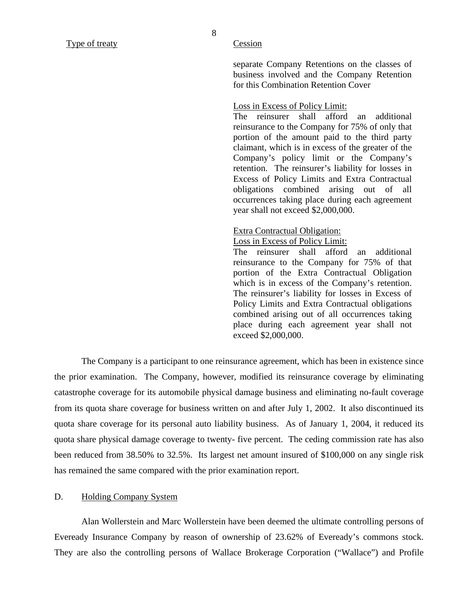<span id="page-9-0"></span>8

separate Company Retentions on the classes of business involved and the Company Retention for this Combination Retention Cover

## Loss in Excess of Policy Limit:

The reinsurer shall afford an additional reinsurance to the Company for 75% of only that portion of the amount paid to the third party claimant, which is in excess of the greater of the Company's policy limit or the Company's retention. The reinsurer's liability for losses in Excess of Policy Limits and Extra Contractual obligations combined arising out of all occurrences taking place during each agreement year shall not exceed \$2,000,000.

#### Extra Contractual Obligation:

Loss in Excess of Policy Limit:

The reinsurer shall afford an additional reinsurance to the Company for 75% of that portion of the Extra Contractual Obligation which is in excess of the Company's retention. The reinsurer's liability for losses in Excess of Policy Limits and Extra Contractual obligations combined arising out of all occurrences taking place during each agreement year shall not exceed \$2,000,000.

The Company is a participant to one reinsurance agreement, which has been in existence since the prior examination. The Company, however, modified its reinsurance coverage by eliminating catastrophe coverage for its automobile physical damage business and eliminating no-fault coverage from its quota share coverage for business written on and after July 1, 2002. It also discontinued its quota share coverage for its personal auto liability business. As of January 1, 2004, it reduced its quota share physical damage coverage to twenty- five percent. The ceding commission rate has also been reduced from 38.50% to 32.5%. Its largest net amount insured of \$100,000 on any single risk has remained the same compared with the prior examination report.

#### D. Holding Company System

Alan Wollerstein and Marc Wollerstein have been deemed the ultimate controlling persons of Eveready Insurance Company by reason of ownership of 23.62% of Eveready's commons stock. They are also the controlling persons of Wallace Brokerage Corporation ("Wallace") and Profile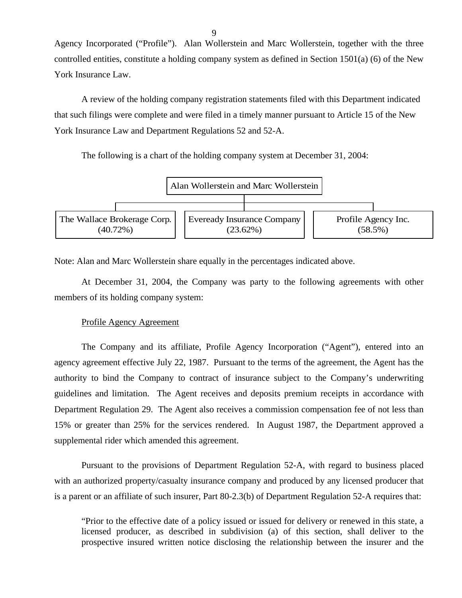Agency Incorporated ("Profile"). Alan Wollerstein and Marc Wollerstein, together with the three controlled entities, constitute a holding company system as defined in Section 1501(a) (6) of the New York Insurance Law.

A review of the holding company registration statements filed with this Department indicated that such filings were complete and were filed in a timely manner pursuant to Article 15 of the New York Insurance Law and Department Regulations 52 and 52-A.

The following is a chart of the holding company system at December 31, 2004:



Note: Alan and Marc Wollerstein share equally in the percentages indicated above.

At December 31, 2004, the Company was party to the following agreements with other members of its holding company system:

## Profile Agency Agreement

The Company and its affiliate, Profile Agency Incorporation ("Agent"), entered into an agency agreement effective July 22, 1987. Pursuant to the terms of the agreement, the Agent has the authority to bind the Company to contract of insurance subject to the Company's underwriting guidelines and limitation. The Agent receives and deposits premium receipts in accordance with Department Regulation 29. The Agent also receives a commission compensation fee of not less than 15% or greater than 25% for the services rendered. In August 1987, the Department approved a supplemental rider which amended this agreement.

Pursuant to the provisions of Department Regulation 52-A, with regard to business placed with an authorized property/casualty insurance company and produced by any licensed producer that is a parent or an affiliate of such insurer, Part 80-2.3(b) of Department Regulation 52-A requires that:

"Prior to the effective date of a policy issued or issued for delivery or renewed in this state, a licensed producer, as described in subdivision (a) of this section, shall deliver to the prospective insured written notice disclosing the relationship between the insurer and the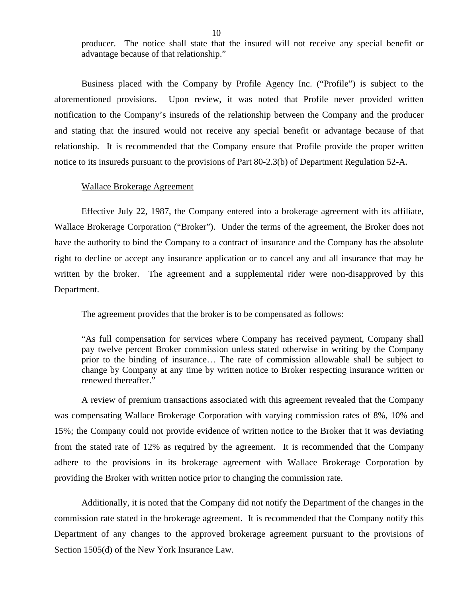producer. The notice shall state that the insured will not receive any special benefit or advantage because of that relationship."

Business placed with the Company by Profile Agency Inc. ("Profile") is subject to the aforementioned provisions. Upon review, it was noted that Profile never provided written notification to the Company's insureds of the relationship between the Company and the producer and stating that the insured would not receive any special benefit or advantage because of that relationship. It is recommended that the Company ensure that Profile provide the proper written notice to its insureds pursuant to the provisions of Part 80-2.3(b) of Department Regulation 52-A.

## Wallace Brokerage Agreement

Effective July 22, 1987, the Company entered into a brokerage agreement with its affiliate, Wallace Brokerage Corporation ("Broker"). Under the terms of the agreement, the Broker does not have the authority to bind the Company to a contract of insurance and the Company has the absolute right to decline or accept any insurance application or to cancel any and all insurance that may be written by the broker. The agreement and a supplemental rider were non-disapproved by this Department.

The agreement provides that the broker is to be compensated as follows:

"As full compensation for services where Company has received payment, Company shall pay twelve percent Broker commission unless stated otherwise in writing by the Company prior to the binding of insurance… The rate of commission allowable shall be subject to change by Company at any time by written notice to Broker respecting insurance written or renewed thereafter."

A review of premium transactions associated with this agreement revealed that the Company was compensating Wallace Brokerage Corporation with varying commission rates of 8%, 10% and 15%; the Company could not provide evidence of written notice to the Broker that it was deviating from the stated rate of 12% as required by the agreement. It is recommended that the Company adhere to the provisions in its brokerage agreement with Wallace Brokerage Corporation by providing the Broker with written notice prior to changing the commission rate.

Additionally, it is noted that the Company did not notify the Department of the changes in the commission rate stated in the brokerage agreement. It is recommended that the Company notify this Department of any changes to the approved brokerage agreement pursuant to the provisions of Section 1505(d) of the New York Insurance Law.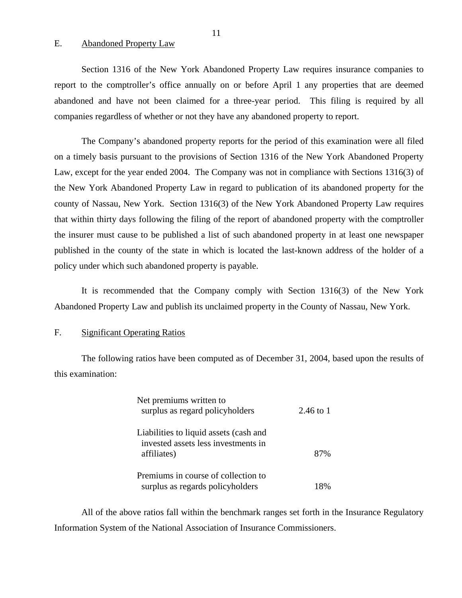## E. Abandoned Property Law

Section 1316 of the New York Abandoned Property Law requires insurance companies to report to the comptroller's office annually on or before April 1 any properties that are deemed abandoned and have not been claimed for a three-year period. This filing is required by all companies regardless of whether or not they have any abandoned property to report.

The Company's abandoned property reports for the period of this examination were all filed on a timely basis pursuant to the provisions of Section 1316 of the New York Abandoned Property Law, except for the year ended 2004. The Company was not in compliance with Sections 1316(3) of the New York Abandoned Property Law in regard to publication of its abandoned property for the county of Nassau, New York. Section 1316(3) of the New York Abandoned Property Law requires that within thirty days following the filing of the report of abandoned property with the comptroller the insurer must cause to be published a list of such abandoned property in at least one newspaper published in the county of the state in which is located the last-known address of the holder of a policy under which such abandoned property is payable.

It is recommended that the Company comply with Section 1316(3) of the New York Abandoned Property Law and publish its unclaimed property in the County of Nassau, New York.

## F. Significant Operating Ratios

The following ratios have been computed as of December 31, 2004, based upon the results of this examination:

| Net premiums written to<br>surplus as regard policyholders                                   | 2.46 to 1 |
|----------------------------------------------------------------------------------------------|-----------|
| Liabilities to liquid assets (cash and<br>invested assets less investments in<br>affiliates) | 87%       |
| Premiums in course of collection to<br>surplus as regards policyholders                      | 18%       |

All of the above ratios fall within the benchmark ranges set forth in the Insurance Regulatory Information System of the National Association of Insurance Commissioners.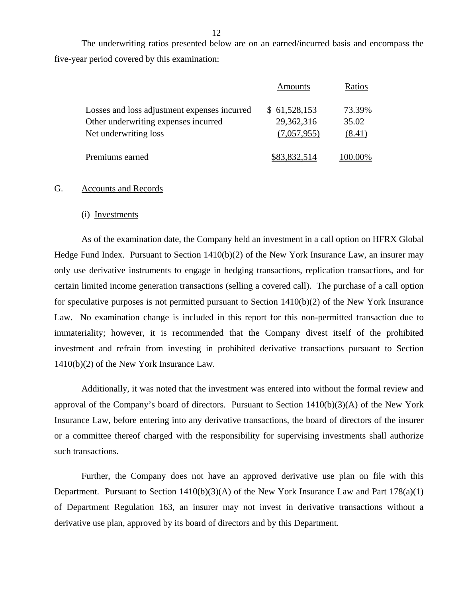The underwriting ratios presented below are on an earned/incurred basis and encompass the five-year period covered by this examination:

|                                              | Amounts      | Ratios  |
|----------------------------------------------|--------------|---------|
| Losses and loss adjustment expenses incurred | \$61,528,153 | 73.39%  |
| Other underwriting expenses incurred         | 29,362,316   | 35.02   |
| Net underwriting loss                        | (7,057,955)  | (8.41)  |
| Premiums earned                              | \$83,832,514 | 100.00% |

#### G. Accounts and Records

#### (i) Investments

As of the examination date, the Company held an investment in a call option on HFRX Global Hedge Fund Index. Pursuant to Section 1410(b)(2) of the New York Insurance Law, an insurer may only use derivative instruments to engage in hedging transactions, replication transactions, and for certain limited income generation transactions (selling a covered call). The purchase of a call option for speculative purposes is not permitted pursuant to Section 1410(b)(2) of the New York Insurance Law. No examination change is included in this report for this non-permitted transaction due to immateriality; however, it is recommended that the Company divest itself of the prohibited investment and refrain from investing in prohibited derivative transactions pursuant to Section 1410(b)(2) of the New York Insurance Law.

Additionally, it was noted that the investment was entered into without the formal review and approval of the Company's board of directors. Pursuant to Section 1410(b)(3)(A) of the New York Insurance Law, before entering into any derivative transactions, the board of directors of the insurer or a committee thereof charged with the responsibility for supervising investments shall authorize such transactions.

Further, the Company does not have an approved derivative use plan on file with this Department. Pursuant to Section 1410(b)(3)(A) of the New York Insurance Law and Part 178(a)(1) of Department Regulation 163, an insurer may not invest in derivative transactions without a derivative use plan, approved by its board of directors and by this Department.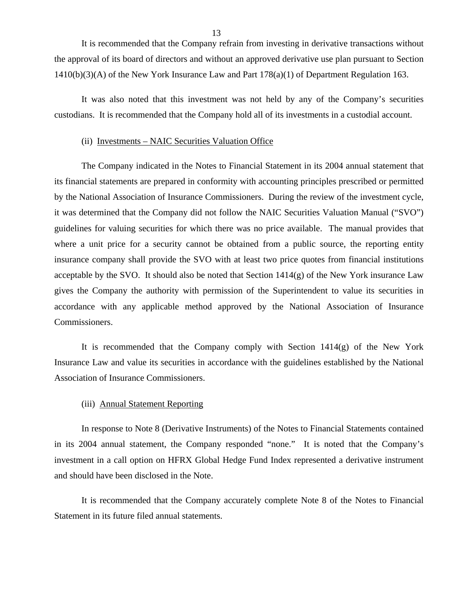It is recommended that the Company refrain from investing in derivative transactions without the approval of its board of directors and without an approved derivative use plan pursuant to Section 1410(b)(3)(A) of the New York Insurance Law and Part 178(a)(1) of Department Regulation 163.

It was also noted that this investment was not held by any of the Company's securities custodians. It is recommended that the Company hold all of its investments in a custodial account.

#### (ii) Investments – NAIC Securities Valuation Office

The Company indicated in the Notes to Financial Statement in its 2004 annual statement that its financial statements are prepared in conformity with accounting principles prescribed or permitted by the National Association of Insurance Commissioners. During the review of the investment cycle, it was determined that the Company did not follow the NAIC Securities Valuation Manual ("SVO") guidelines for valuing securities for which there was no price available. The manual provides that where a unit price for a security cannot be obtained from a public source, the reporting entity insurance company shall provide the SVO with at least two price quotes from financial institutions acceptable by the SVO. It should also be noted that Section  $1414(g)$  of the New York insurance Law gives the Company the authority with permission of the Superintendent to value its securities in accordance with any applicable method approved by the National Association of Insurance Commissioners.

It is recommended that the Company comply with Section  $1414(g)$  of the New York Insurance Law and value its securities in accordance with the guidelines established by the National Association of Insurance Commissioners.

## (iii) Annual Statement Reporting

In response to Note 8 (Derivative Instruments) of the Notes to Financial Statements contained in its 2004 annual statement, the Company responded "none." It is noted that the Company's investment in a call option on HFRX Global Hedge Fund Index represented a derivative instrument and should have been disclosed in the Note.

It is recommended that the Company accurately complete Note 8 of the Notes to Financial Statement in its future filed annual statements.

13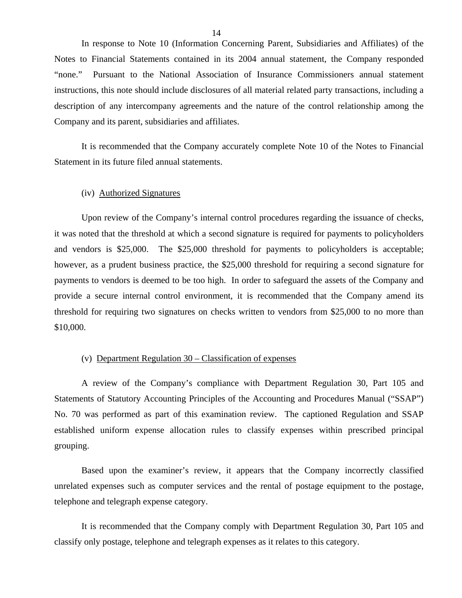In response to Note 10 (Information Concerning Parent, Subsidiaries and Affiliates) of the Notes to Financial Statements contained in its 2004 annual statement, the Company responded "none." Pursuant to the National Association of Insurance Commissioners annual statement instructions, this note should include disclosures of all material related party transactions, including a description of any intercompany agreements and the nature of the control relationship among the Company and its parent, subsidiaries and affiliates.

It is recommended that the Company accurately complete Note 10 of the Notes to Financial Statement in its future filed annual statements.

## (iv) Authorized Signatures

Upon review of the Company's internal control procedures regarding the issuance of checks, it was noted that the threshold at which a second signature is required for payments to policyholders and vendors is \$25,000. The \$25,000 threshold for payments to policyholders is acceptable; however, as a prudent business practice, the \$25,000 threshold for requiring a second signature for payments to vendors is deemed to be too high. In order to safeguard the assets of the Company and provide a secure internal control environment, it is recommended that the Company amend its threshold for requiring two signatures on checks written to vendors from \$25,000 to no more than \$10,000.

## (v) Department Regulation 30 – Classification of expenses

A review of the Company's compliance with Department Regulation 30, Part 105 and Statements of Statutory Accounting Principles of the Accounting and Procedures Manual ("SSAP") No. 70 was performed as part of this examination review. The captioned Regulation and SSAP established uniform expense allocation rules to classify expenses within prescribed principal grouping.

Based upon the examiner's review, it appears that the Company incorrectly classified unrelated expenses such as computer services and the rental of postage equipment to the postage, telephone and telegraph expense category.

It is recommended that the Company comply with Department Regulation 30, Part 105 and classify only postage, telephone and telegraph expenses as it relates to this category.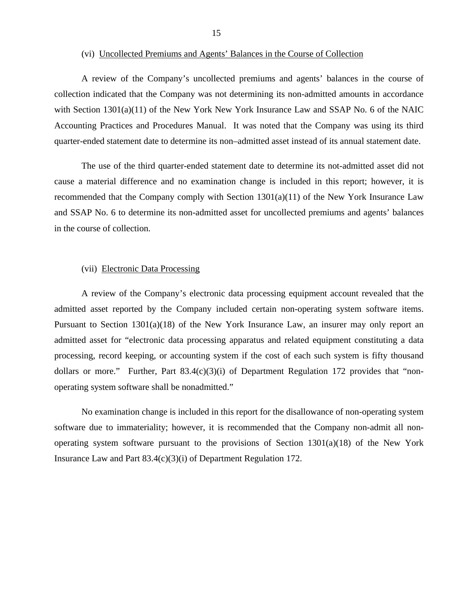A review of the Company's uncollected premiums and agents' balances in the course of collection indicated that the Company was not determining its non-admitted amounts in accordance with Section 1301(a)(11) of the New York New York Insurance Law and SSAP No. 6 of the NAIC Accounting Practices and Procedures Manual. It was noted that the Company was using its third quarter-ended statement date to determine its non–admitted asset instead of its annual statement date.

The use of the third quarter-ended statement date to determine its not-admitted asset did not cause a material difference and no examination change is included in this report; however, it is recommended that the Company comply with Section 1301(a)(11) of the New York Insurance Law and SSAP No. 6 to determine its non-admitted asset for uncollected premiums and agents' balances in the course of collection.

#### (vii) Electronic Data Processing

A review of the Company's electronic data processing equipment account revealed that the admitted asset reported by the Company included certain non-operating system software items. Pursuant to Section 1301(a)(18) of the New York Insurance Law, an insurer may only report an admitted asset for "electronic data processing apparatus and related equipment constituting a data processing, record keeping, or accounting system if the cost of each such system is fifty thousand dollars or more." Further, Part 83.4(c)(3)(i) of Department Regulation 172 provides that "nonoperating system software shall be nonadmitted."

No examination change is included in this report for the disallowance of non-operating system software due to immateriality; however, it is recommended that the Company non-admit all nonoperating system software pursuant to the provisions of Section  $1301(a)(18)$  of the New York Insurance Law and Part 83.4(c)(3)(i) of Department Regulation 172.

<sup>(</sup>vi) Uncollected Premiums and Agents' Balances in the Course of Collection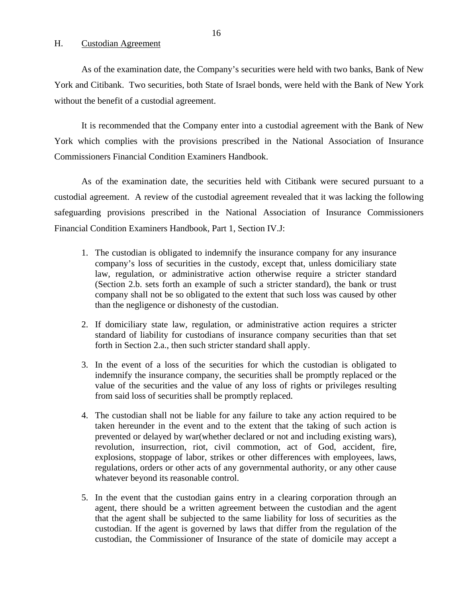## <span id="page-17-0"></span>H. Custodian Agreement

As of the examination date, the Company's securities were held with two banks, Bank of New York and Citibank. Two securities, both State of Israel bonds, were held with the Bank of New York without the benefit of a custodial agreement.

It is recommended that the Company enter into a custodial agreement with the Bank of New York which complies with the provisions prescribed in the National Association of Insurance Commissioners Financial Condition Examiners Handbook.

As of the examination date, the securities held with Citibank were secured pursuant to a custodial agreement. A review of the custodial agreement revealed that it was lacking the following safeguarding provisions prescribed in the National Association of Insurance Commissioners Financial Condition Examiners Handbook, Part 1, Section IV.J:

- 1. The custodian is obligated to indemnify the insurance company for any insurance company's loss of securities in the custody, except that, unless domiciliary state law, regulation, or administrative action otherwise require a stricter standard (Section 2.b. sets forth an example of such a stricter standard), the bank or trust company shall not be so obligated to the extent that such loss was caused by other than the negligence or dishonesty of the custodian.
- 2. If domiciliary state law, regulation, or administrative action requires a stricter standard of liability for custodians of insurance company securities than that set forth in Section 2.a., then such stricter standard shall apply.
- 3. In the event of a loss of the securities for which the custodian is obligated to indemnify the insurance company, the securities shall be promptly replaced or the value of the securities and the value of any loss of rights or privileges resulting from said loss of securities shall be promptly replaced.
- 4. The custodian shall not be liable for any failure to take any action required to be taken hereunder in the event and to the extent that the taking of such action is prevented or delayed by war(whether declared or not and including existing wars), revolution, insurrection, riot, civil commotion, act of God, accident, fire, explosions, stoppage of labor, strikes or other differences with employees, laws, regulations, orders or other acts of any governmental authority, or any other cause whatever beyond its reasonable control.
- 5. In the event that the custodian gains entry in a clearing corporation through an agent, there should be a written agreement between the custodian and the agent that the agent shall be subjected to the same liability for loss of securities as the custodian. If the agent is governed by laws that differ from the regulation of the custodian, the Commissioner of Insurance of the state of domicile may accept a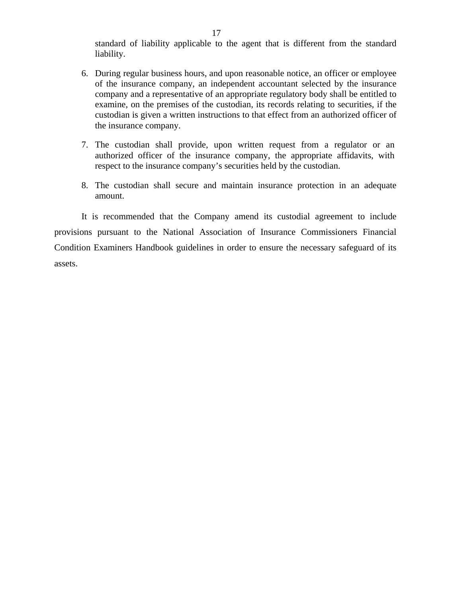standard of liability applicable to the agent that is different from the standard liability.

- 6. During regular business hours, and upon reasonable notice, an officer or employee of the insurance company, an independent accountant selected by the insurance company and a representative of an appropriate regulatory body shall be entitled to examine, on the premises of the custodian, its records relating to securities, if the custodian is given a written instructions to that effect from an authorized officer of the insurance company.
- 7. The custodian shall provide, upon written request from a regulator or an authorized officer of the insurance company, the appropriate affidavits, with respect to the insurance company's securities held by the custodian.
- 8. The custodian shall secure and maintain insurance protection in an adequate amount.

It is recommended that the Company amend its custodial agreement to include provisions pursuant to the National Association of Insurance Commissioners Financial Condition Examiners Handbook guidelines in order to ensure the necessary safeguard of its assets.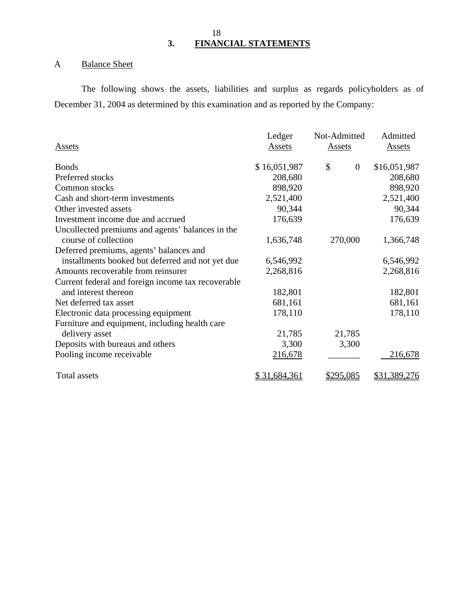## 18 **3. FINANCIAL STATEMENTS**

# A Balance Sheet

The following shows the assets, liabilities and surplus as regards policyholders as of December 31, 2004 as determined by this examination and as reported by the Company:

|                                                    | Ledger       | Not-Admitted         | Admitted      |
|----------------------------------------------------|--------------|----------------------|---------------|
| <b>Assets</b>                                      | Assets       | <b>Assets</b>        | <b>Assets</b> |
| <b>Bonds</b>                                       | \$16,051,987 | \$<br>$\overline{0}$ | \$16,051,987  |
| Preferred stocks                                   | 208,680      |                      | 208,680       |
| Common stocks                                      | 898,920      |                      | 898,920       |
| Cash and short-term investments                    | 2,521,400    |                      | 2,521,400     |
| Other invested assets                              | 90,344       |                      | 90,344        |
| Investment income due and accrued                  | 176,639      |                      | 176,639       |
| Uncollected premiums and agents' balances in the   |              |                      |               |
| course of collection                               | 1,636,748    | 270,000              | 1,366,748     |
| Deferred premiums, agents' balances and            |              |                      |               |
| installments booked but deferred and not yet due   | 6,546,992    |                      | 6,546,992     |
| Amounts recoverable from reinsurer                 | 2,268,816    |                      | 2,268,816     |
| Current federal and foreign income tax recoverable |              |                      |               |
| and interest thereon                               | 182,801      |                      | 182,801       |
| Net deferred tax asset                             | 681,161      |                      | 681,161       |
| Electronic data processing equipment               | 178,110      |                      | 178,110       |
| Furniture and equipment, including health care     |              |                      |               |
| delivery asset                                     | 21,785       | 21,785               |               |
| Deposits with bureaus and others                   | 3,300        | 3,300                |               |
| Pooling income receivable                          | 216,678      |                      | 216,678       |
| <b>Total assets</b>                                | \$31,684,361 | <u>\$295,085</u>     | \$31,389,276  |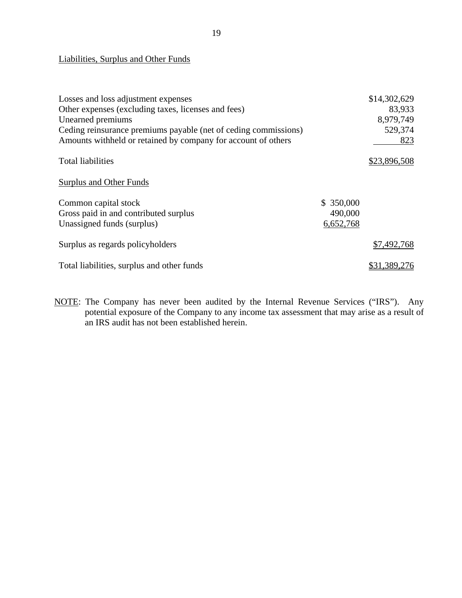## Liabilities, Surplus and Other Funds

| Losses and loss adjustment expenses                             |           | \$14,302,629 |
|-----------------------------------------------------------------|-----------|--------------|
| Other expenses (excluding taxes, licenses and fees)             |           | 83,933       |
| Unearned premiums                                               |           | 8,979,749    |
| Ceding reinsurance premiums payable (net of ceding commissions) |           | 529,374      |
| Amounts withheld or retained by company for account of others   |           | 823          |
| <b>Total liabilities</b>                                        |           | \$23,896,508 |
| Surplus and Other Funds                                         |           |              |
| Common capital stock                                            | \$350,000 |              |
| Gross paid in and contributed surplus                           | 490,000   |              |
| Unassigned funds (surplus)                                      | 6,652,768 |              |
| Surplus as regards policyholders                                |           | \$7,492,768  |
| Total liabilities, surplus and other funds                      |           | \$31,389,276 |

NOTE: The Company has never been audited by the Internal Revenue Services ("IRS"). Any potential exposure of the Company to any income tax assessment that may arise as a result of an IRS audit has not been established herein.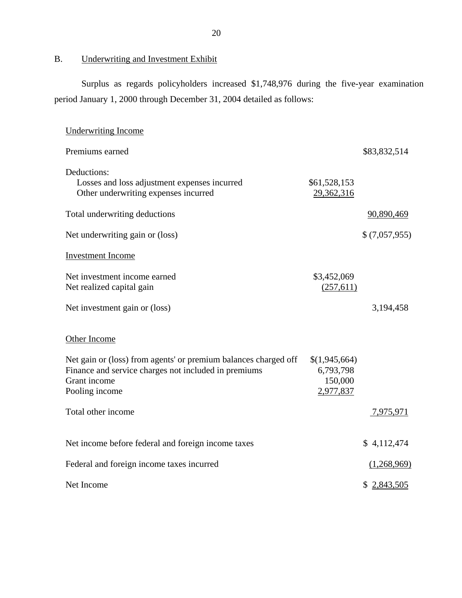## <span id="page-21-0"></span>B. Underwriting and Investment Exhibit

Surplus as regards policyholders increased \$1,748,976 during the five-year examination period January 1, 2000 through December 31, 2004 detailed as follows:

| <b>Underwriting Income</b>                                                                                                                                |                                                    |               |
|-----------------------------------------------------------------------------------------------------------------------------------------------------------|----------------------------------------------------|---------------|
| Premiums earned                                                                                                                                           |                                                    | \$83,832,514  |
| Deductions:<br>Losses and loss adjustment expenses incurred<br>Other underwriting expenses incurred                                                       | \$61,528,153<br>29,362,316                         |               |
| Total underwriting deductions                                                                                                                             |                                                    | 90,890,469    |
| Net underwriting gain or (loss)                                                                                                                           |                                                    | \$(7,057,955) |
| <b>Investment Income</b>                                                                                                                                  |                                                    |               |
| Net investment income earned<br>Net realized capital gain                                                                                                 | \$3,452,069<br>(257,611)                           |               |
| Net investment gain or (loss)                                                                                                                             |                                                    | 3,194,458     |
| Other Income                                                                                                                                              |                                                    |               |
| Net gain or (loss) from agents' or premium balances charged off<br>Finance and service charges not included in premiums<br>Grant income<br>Pooling income | \$(1,945,664)<br>6,793,798<br>150,000<br>2,977,837 |               |
| Total other income                                                                                                                                        |                                                    | 7,975,971     |
| Net income before federal and foreign income taxes                                                                                                        |                                                    | \$4,112,474   |
| Federal and foreign income taxes incurred                                                                                                                 |                                                    | (1,268,969)   |
| Net Income                                                                                                                                                |                                                    | \$2,843,505   |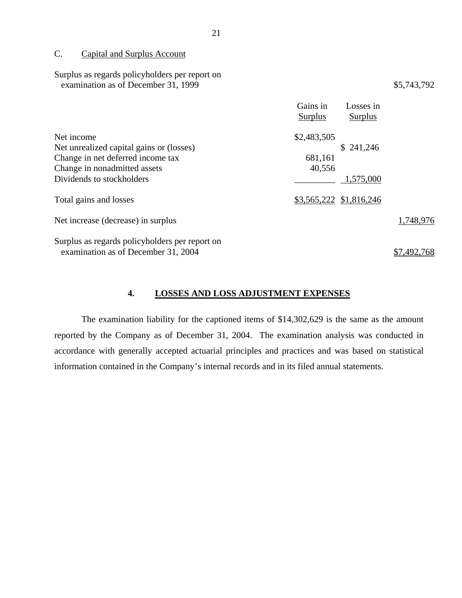## C. Capital and Surplus Account

| Surplus as regards policyholders per report on<br>examination as of December 31, 1999 |                         | \$5,743,792          |
|---------------------------------------------------------------------------------------|-------------------------|----------------------|
|                                                                                       | Gains in<br>Surplus     | Losses in<br>Surplus |
| Net income                                                                            | \$2,483,505             |                      |
| Net unrealized capital gains or (losses)                                              |                         | \$241,246            |
| Change in net deferred income tax                                                     | 681,161                 |                      |
| Change in nonadmitted assets                                                          | 40,556                  |                      |
| Dividends to stockholders                                                             |                         | 1,575,000            |
| Total gains and losses                                                                | \$3,565,222 \$1,816,246 |                      |
| Net increase (decrease) in surplus                                                    |                         | 1,748,976            |
| Surplus as regards policyholders per report on                                        |                         |                      |
| examination as of December 31, 2004                                                   |                         | \$7,492,768          |

## **4. LOSSES AND LOSS ADJUSTMENT EXPENSES**

The examination liability for the captioned items of \$14,302,629 is the same as the amount reported by the Company as of December 31, 2004. The examination analysis was conducted in accordance with generally accepted actuarial principles and practices and was based on statistical information contained in the Company's internal records and in its filed annual statements.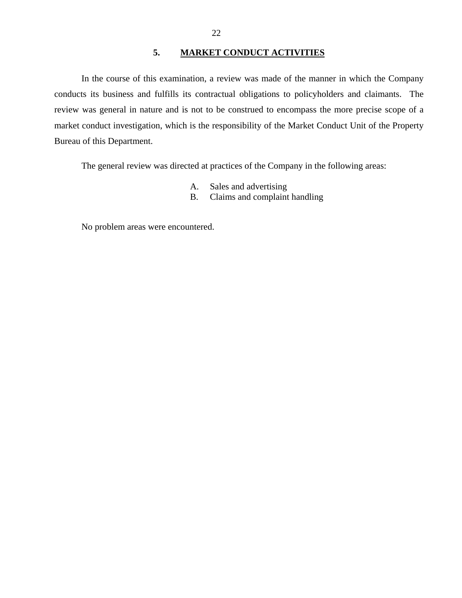## **5. MARKET CONDUCT ACTIVITIES**

<span id="page-23-0"></span>In the course of this examination, a review was made of the manner in which the Company conducts its business and fulfills its contractual obligations to policyholders and claimants. The review was general in nature and is not to be construed to encompass the more precise scope of a market conduct investigation, which is the responsibility of the Market Conduct Unit of the Property Bureau of this Department.

The general review was directed at practices of the Company in the following areas:

- A. Sales and advertising
- B. Claims and complaint handling

No problem areas were encountered.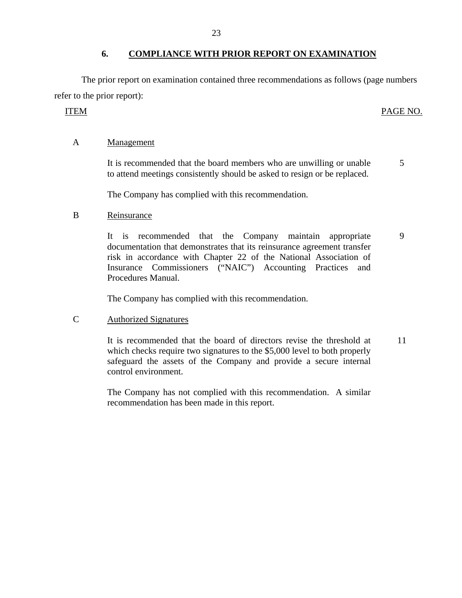The prior report on examination contained three recommendations as follows (page numbers refer to the prior report):

## ITEM PAGE NO.

## A Management

It is recommended that the board members who are unwilling or unable to attend meetings consistently should be asked to resign or be replaced. 5

The Company has complied with this recommendation.

## B Reinsurance

It is recommended that the Company maintain appropriate documentation that demonstrates that its reinsurance agreement transfer risk in accordance with Chapter 22 of the National Association of Insurance Commissioners ("NAIC") Accounting Practices and Procedures Manual. 9

The Company has complied with this recommendation.

## C Authorized Signatures

It is recommended that the board of directors revise the threshold at which checks require two signatures to the \$5,000 level to both properly safeguard the assets of the Company and provide a secure internal control environment. 11

The Company has not complied with this recommendation. A similar recommendation has been made in this report.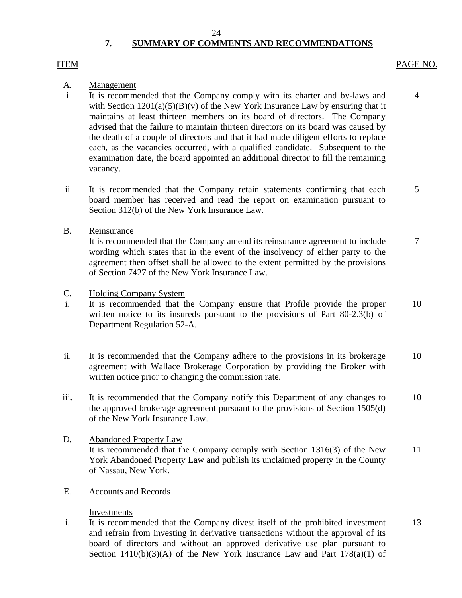# **7. SUMMARY OF COMMENTS AND RECOMMENDATIONS**

## <span id="page-25-0"></span>ITEM

## PAGE NO.

4

## A. Management

- i It is recommended that the Company comply with its charter and by-laws and with Section  $1201(a)(5)(B)(v)$  of the New York Insurance Law by ensuring that it maintains at least thirteen members on its board of directors. The Company advised that the failure to maintain thirteen directors on its board was caused by the death of a couple of directors and that it had made diligent efforts to replace each, as the vacancies occurred, with a qualified candidate. Subsequent to the examination date, the board appointed an additional director to fill the remaining vacancy.
- ii It is recommended that the Company retain statements confirming that each board member has received and read the report on examination pursuant to Section 312(b) of the New York Insurance Law. 5

## B. Reinsurance

It is recommended that the Company amend its reinsurance agreement to include wording which states that in the event of the insolvency of either party to the agreement then offset shall be allowed to the extent permitted by the provisions of Section 7427 of the New York Insurance Law. 7

- C. Holding Company System
- i. It is recommended that the Company ensure that Profile provide the proper written notice to its insureds pursuant to the provisions of Part 80-2.3(b) of Department Regulation 52-A. 10
- ii. It is recommended that the Company adhere to the provisions in its brokerage agreement with Wallace Brokerage Corporation by providing the Broker with written notice prior to changing the commission rate. 10
- iii. It is recommended that the Company notify this Department of any changes to the approved brokerage agreement pursuant to the provisions of Section 1505(d) of the New York Insurance Law. 10
- D. Abandoned Property Law It is recommended that the Company comply with Section 1316(3) of the New York Abandoned Property Law and publish its unclaimed property in the County of Nassau, New York. 11
- E. Accounts and Records

## Investments

i. It is recommended that the Company divest itself of the prohibited investment and refrain from investing in derivative transactions without the approval of its board of directors and without an approved derivative use plan pursuant to Section  $1410(b)(3)(A)$  of the New York Insurance Law and Part  $178(a)(1)$  of 13

24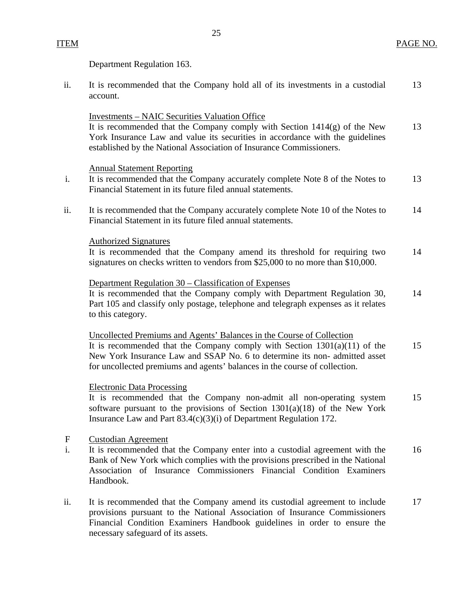# ITEM

PAGE NO.

Department Regulation 163.

| ii.                | It is recommended that the Company hold all of its investments in a custodial<br>account.                                                                                                                                                                                                                       | 13 |
|--------------------|-----------------------------------------------------------------------------------------------------------------------------------------------------------------------------------------------------------------------------------------------------------------------------------------------------------------|----|
|                    | <b>Investments – NAIC Securities Valuation Office</b><br>It is recommended that the Company comply with Section $1414(g)$ of the New<br>York Insurance Law and value its securities in accordance with the guidelines<br>established by the National Association of Insurance Commissioners.                    | 13 |
| i.                 | <b>Annual Statement Reporting</b><br>It is recommended that the Company accurately complete Note 8 of the Notes to<br>Financial Statement in its future filed annual statements.                                                                                                                                | 13 |
| ii.                | It is recommended that the Company accurately complete Note 10 of the Notes to<br>Financial Statement in its future filed annual statements.                                                                                                                                                                    | 14 |
|                    | <b>Authorized Signatures</b><br>It is recommended that the Company amend its threshold for requiring two<br>signatures on checks written to vendors from \$25,000 to no more than \$10,000.                                                                                                                     | 14 |
|                    | Department Regulation 30 – Classification of Expenses<br>It is recommended that the Company comply with Department Regulation 30,<br>Part 105 and classify only postage, telephone and telegraph expenses as it relates<br>to this category.                                                                    | 14 |
|                    | Uncollected Premiums and Agents' Balances in the Course of Collection<br>It is recommended that the Company comply with Section $1301(a)(11)$ of the<br>New York Insurance Law and SSAP No. 6 to determine its non-admitted asset<br>for uncollected premiums and agents' balances in the course of collection. | 15 |
|                    | <b>Electronic Data Processing</b><br>It is recommended that the Company non-admit all non-operating system<br>software pursuant to the provisions of Section $1301(a)(18)$ of the New York<br>Insurance Law and Part 83.4(c)(3)(i) of Department Regulation 172.                                                | 15 |
| $\mathbf{F}$<br>i. | <b>Custodian Agreement</b><br>It is recommended that the Company enter into a custodial agreement with the<br>Bank of New York which complies with the provisions prescribed in the National<br>Association of Insurance Commissioners Financial Condition Examiners<br>Handbook.                               | 16 |
| ii.                | It is recommended that the Company amend its custodial agreement to include<br>provisions pursuant to the National Association of Insurance Commissioners<br>Financial Condition Examiners Handbook guidelines in order to ensure the<br>necessary safeguard of its assets.                                     | 17 |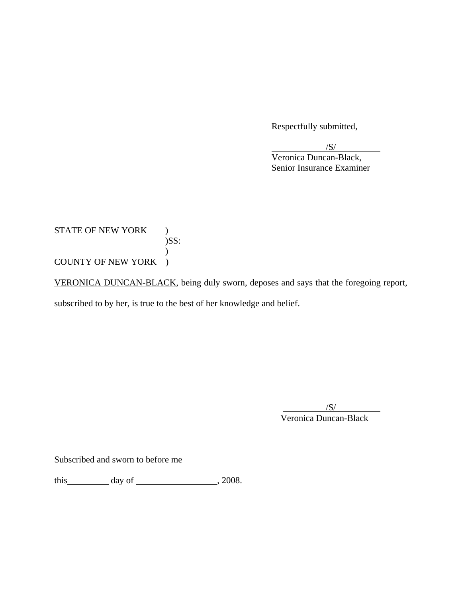Respectfully submitted,

 $\sqrt{S}$ /

 Veronica Duncan-Black, Senior Insurance Examiner

STATE OF NEW YORK ) )SS:  $\mathcal{L}$ COUNTY OF NEW YORK )

VERONICA DUNCAN-BLACK, being duly sworn, deposes and says that the foregoing report,

subscribed to by her, is true to the best of her knowledge and belief.

 $/S/$ Veronica Duncan-Black

Subscribed and sworn to before me

this  $\qquad \qquad$  day of  $\qquad \qquad$  , 2008.